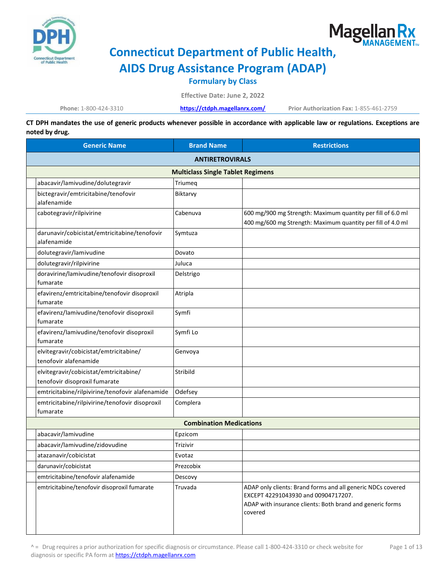

# Magellan Rx

## **Connecticut Department of Public Health,**

**AIDS Drug Assistance Program (ADAP)**

**Formulary by Class**

**Effective Date: June 2, 2022**

**Phone:** 1-800-424-3310 **<https://ctdph.magellanrx.com/> Prior Authorization Fax:** 1-855-461-2759

**CT DPH mandates the use of generic products whenever possible in accordance with applicable law or regulations. Exceptions are noted by drug.**

| <b>Generic Name</b>                                                     | <b>Brand Name</b>              | <b>Restrictions</b>                                                                                                                                                        |  |  |
|-------------------------------------------------------------------------|--------------------------------|----------------------------------------------------------------------------------------------------------------------------------------------------------------------------|--|--|
| <b>ANTIRETROVIRALS</b>                                                  |                                |                                                                                                                                                                            |  |  |
| <b>Multiclass Single Tablet Regimens</b>                                |                                |                                                                                                                                                                            |  |  |
| abacavir/lamivudine/dolutegravir                                        | Triumeq                        |                                                                                                                                                                            |  |  |
| bictegravir/emtricitabine/tenofovir<br>alafenamide                      | Biktarvy                       |                                                                                                                                                                            |  |  |
| cabotegravir/rilpivirine                                                | Cabenuva                       | 600 mg/900 mg Strength: Maximum quantity per fill of 6.0 ml<br>400 mg/600 mg Strength: Maximum quantity per fill of 4.0 ml                                                 |  |  |
| darunavir/cobicistat/emtricitabine/tenofovir<br>alafenamide             | Symtuza                        |                                                                                                                                                                            |  |  |
| dolutegravir/lamivudine                                                 | Dovato                         |                                                                                                                                                                            |  |  |
| dolutegravir/rilpivirine                                                | Juluca                         |                                                                                                                                                                            |  |  |
| doravirine/lamivudine/tenofovir disoproxil<br>fumarate                  | Delstrigo                      |                                                                                                                                                                            |  |  |
| efavirenz/emtricitabine/tenofovir disoproxil<br>fumarate                | Atripla                        |                                                                                                                                                                            |  |  |
| efavirenz/lamivudine/tenofovir disoproxil<br>fumarate                   | Symfi                          |                                                                                                                                                                            |  |  |
| efavirenz/lamivudine/tenofovir disoproxil<br>fumarate                   | Symfi Lo                       |                                                                                                                                                                            |  |  |
| elvitegravir/cobicistat/emtricitabine/<br>tenofovir alafenamide         | Genvoya                        |                                                                                                                                                                            |  |  |
| elvitegravir/cobicistat/emtricitabine/<br>tenofovir disoproxil fumarate | Stribild                       |                                                                                                                                                                            |  |  |
| emtricitabine/rilpivirine/tenofovir alafenamide                         | Odefsey                        |                                                                                                                                                                            |  |  |
| emtricitabine/rilpivirine/tenofovir disoproxil<br>fumarate              | Complera                       |                                                                                                                                                                            |  |  |
|                                                                         | <b>Combination Medications</b> |                                                                                                                                                                            |  |  |
| abacavir/lamivudine                                                     | Epzicom                        |                                                                                                                                                                            |  |  |
| abacavir/lamivudine/zidovudine                                          | Trizivir                       |                                                                                                                                                                            |  |  |
| atazanavir/cobicistat                                                   | Evotaz                         |                                                                                                                                                                            |  |  |
| darunavir/cobicistat                                                    | Prezcobix                      |                                                                                                                                                                            |  |  |
| emtricitabine/tenofovir alafenamide                                     | Descovy                        |                                                                                                                                                                            |  |  |
| emtricitabine/tenofovir disoproxil fumarate                             | Truvada                        | ADAP only clients: Brand forms and all generic NDCs covered<br>EXCEPT 42291043930 and 00904717207.<br>ADAP with insurance clients: Both brand and generic forms<br>covered |  |  |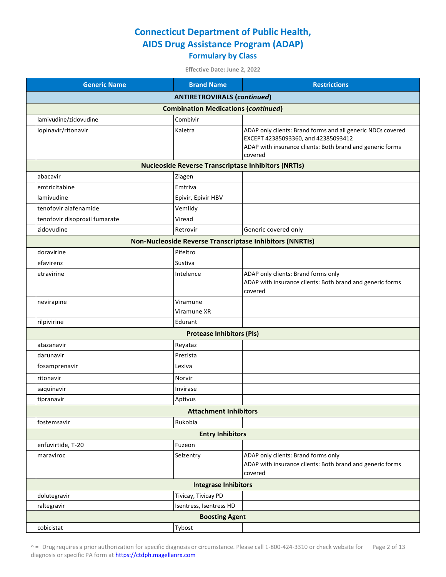**Effective Date: June 2, 2022**

| <b>Generic Name</b>           | <b>Brand Name</b>                                          | <b>Restrictions</b>                                                                                                                                                        |  |
|-------------------------------|------------------------------------------------------------|----------------------------------------------------------------------------------------------------------------------------------------------------------------------------|--|
|                               | <b>ANTIRETROVIRALS (continued)</b>                         |                                                                                                                                                                            |  |
|                               | <b>Combination Medications (continued)</b>                 |                                                                                                                                                                            |  |
| lamivudine/zidovudine         | Combivir                                                   |                                                                                                                                                                            |  |
| lopinavir/ritonavir           | Kaletra                                                    | ADAP only clients: Brand forms and all generic NDCs covered<br>EXCEPT 42385093360, and 42385093412<br>ADAP with insurance clients: Both brand and generic forms<br>covered |  |
|                               | <b>Nucleoside Reverse Transcriptase Inhibitors (NRTIs)</b> |                                                                                                                                                                            |  |
| abacavir                      | Ziagen                                                     |                                                                                                                                                                            |  |
| emtricitabine                 | Emtriva                                                    |                                                                                                                                                                            |  |
| lamivudine                    | Epivir, Epivir HBV                                         |                                                                                                                                                                            |  |
| tenofovir alafenamide         | Vemlidy                                                    |                                                                                                                                                                            |  |
| tenofovir disoproxil fumarate | Viread                                                     |                                                                                                                                                                            |  |
| zidovudine                    | Retrovir                                                   | Generic covered only                                                                                                                                                       |  |
|                               |                                                            | <b>Non-Nucleoside Reverse Transcriptase Inhibitors (NNRTIs)</b>                                                                                                            |  |
| doravirine                    | Pifeltro                                                   |                                                                                                                                                                            |  |
| efavirenz                     | Sustiva                                                    |                                                                                                                                                                            |  |
| etravirine                    | Intelence                                                  | ADAP only clients: Brand forms only<br>ADAP with insurance clients: Both brand and generic forms<br>covered                                                                |  |
| nevirapine                    | Viramune<br>Viramune XR                                    |                                                                                                                                                                            |  |
| rilpivirine                   | Edurant                                                    |                                                                                                                                                                            |  |
|                               | <b>Protease Inhibitors (PIs)</b>                           |                                                                                                                                                                            |  |
| atazanavir                    | Reyataz                                                    |                                                                                                                                                                            |  |
| darunavir                     | Prezista                                                   |                                                                                                                                                                            |  |
| fosamprenavir                 | Lexiva                                                     |                                                                                                                                                                            |  |
| ritonavir                     | Norvir                                                     |                                                                                                                                                                            |  |
| saquinavir                    | Invirase                                                   |                                                                                                                                                                            |  |
| tipranavir                    | Aptivus                                                    |                                                                                                                                                                            |  |
|                               | <b>Attachment Inhibitors</b>                               |                                                                                                                                                                            |  |
| fostemsavir                   | Rukobia                                                    |                                                                                                                                                                            |  |
|                               | <b>Entry Inhibitors</b>                                    |                                                                                                                                                                            |  |
| enfuvirtide, T-20             | Fuzeon                                                     |                                                                                                                                                                            |  |
| maraviroc                     | Selzentry                                                  | ADAP only clients: Brand forms only<br>ADAP with insurance clients: Both brand and generic forms<br>covered                                                                |  |
|                               | <b>Integrase Inhibitors</b>                                |                                                                                                                                                                            |  |
| dolutegravir                  | Tivicay, Tivicay PD                                        |                                                                                                                                                                            |  |
| raltegravir                   | Isentress, Isentress HD                                    |                                                                                                                                                                            |  |
| <b>Boosting Agent</b>         |                                                            |                                                                                                                                                                            |  |
| cobicistat                    | Tybost                                                     |                                                                                                                                                                            |  |

^ = Drug requires a prior authorization for specific diagnosis or circumstance. Please call 1-800-424-3310 or check website for Page 2 of 13 diagnosis or specific PA form a[t https://ctdph.magellanrx.com](https://ctdph.magellanrx.com/)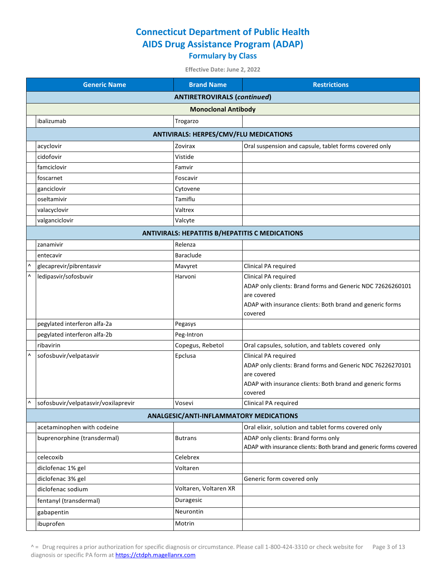|   | <b>Generic Name</b>                           | <b>Brand Name</b>                                      | <b>Restrictions</b>                                                       |  |  |
|---|-----------------------------------------------|--------------------------------------------------------|---------------------------------------------------------------------------|--|--|
|   | <b>ANTIRETROVIRALS (continued)</b>            |                                                        |                                                                           |  |  |
|   | <b>Monoclonal Antibody</b>                    |                                                        |                                                                           |  |  |
|   | ibalizumab                                    | Trogarzo                                               |                                                                           |  |  |
|   | <b>ANTIVIRALS: HERPES/CMV/FLU MEDICATIONS</b> |                                                        |                                                                           |  |  |
|   | acyclovir                                     | Zovirax                                                | Oral suspension and capsule, tablet forms covered only                    |  |  |
|   | cidofovir                                     | Vistide                                                |                                                                           |  |  |
|   | famciclovir                                   | Famvir                                                 |                                                                           |  |  |
|   | foscarnet                                     | Foscavir                                               |                                                                           |  |  |
|   | ganciclovir                                   | Cytovene                                               |                                                                           |  |  |
|   | oseltamivir                                   | Tamiflu                                                |                                                                           |  |  |
|   | valacyclovir                                  | Valtrex                                                |                                                                           |  |  |
|   | valganciclovir                                | Valcyte                                                |                                                                           |  |  |
|   |                                               | <b>ANTIVIRALS: HEPATITIS B/HEPATITIS C MEDICATIONS</b> |                                                                           |  |  |
|   | zanamivir                                     | Relenza                                                |                                                                           |  |  |
|   | entecavir                                     | <b>Baraclude</b>                                       |                                                                           |  |  |
|   | glecaprevir/pibrentasvir                      | Mavyret                                                | Clinical PA required                                                      |  |  |
| Λ | ledipasvir/sofosbuvir                         | Harvoni                                                | Clinical PA required                                                      |  |  |
|   |                                               |                                                        | ADAP only clients: Brand forms and Generic NDC 72626260101<br>are covered |  |  |
|   |                                               |                                                        | ADAP with insurance clients: Both brand and generic forms                 |  |  |
|   |                                               |                                                        | covered                                                                   |  |  |
|   | pegylated interferon alfa-2a                  | Pegasys                                                |                                                                           |  |  |
|   | pegylated interferon alfa-2b                  | Peg-Intron                                             |                                                                           |  |  |
|   | ribavirin                                     | Copegus, Rebetol                                       | Oral capsules, solution, and tablets covered only                         |  |  |
|   | sofosbuvir/velpatasvir                        | Epclusa                                                | Clinical PA required                                                      |  |  |
|   |                                               |                                                        | ADAP only clients: Brand forms and Generic NDC 76226270101                |  |  |
|   |                                               |                                                        | are covered<br>ADAP with insurance clients: Both brand and generic forms  |  |  |
|   |                                               |                                                        | covered                                                                   |  |  |
|   | sofosbuvir/velpatasvir/voxilaprevir           | Vosevi                                                 | Clinical PA required                                                      |  |  |
|   |                                               | ANALGESIC/ANTI-INFLAMMATORY MEDICATIONS                |                                                                           |  |  |
|   | acetaminophen with codeine                    |                                                        | Oral elixir, solution and tablet forms covered only                       |  |  |
|   | buprenorphine (transdermal)                   | <b>Butrans</b>                                         | ADAP only clients: Brand forms only                                       |  |  |
|   |                                               |                                                        | ADAP with insurance clients: Both brand and generic forms covered         |  |  |
|   | celecoxib                                     | Celebrex                                               |                                                                           |  |  |
|   | diclofenac 1% gel                             | Voltaren                                               |                                                                           |  |  |
|   | diclofenac 3% gel                             |                                                        | Generic form covered only                                                 |  |  |
|   | diclofenac sodium                             | Voltaren, Voltaren XR                                  |                                                                           |  |  |
|   | fentanyl (transdermal)                        | Duragesic                                              |                                                                           |  |  |
|   | gabapentin                                    | Neurontin                                              |                                                                           |  |  |
|   | ibuprofen                                     | Motrin                                                 |                                                                           |  |  |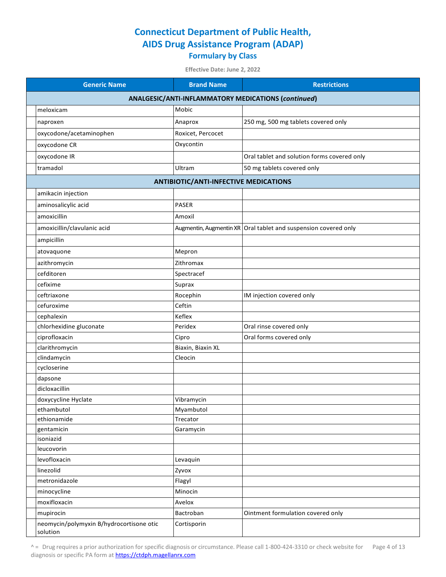**Effective Date: June 2, 2022**

| <b>Generic Name</b>                                 | <b>Brand Name</b>                            | <b>Restrictions</b>                                               |  |  |
|-----------------------------------------------------|----------------------------------------------|-------------------------------------------------------------------|--|--|
| ANALGESIC/ANTI-INFLAMMATORY MEDICATIONS (continued) |                                              |                                                                   |  |  |
| meloxicam                                           | Mobic                                        |                                                                   |  |  |
| naproxen                                            | Anaprox                                      | 250 mg, 500 mg tablets covered only                               |  |  |
| oxycodone/acetaminophen                             | Roxicet, Percocet                            |                                                                   |  |  |
| oxycodone CR                                        | Oxycontin                                    |                                                                   |  |  |
| oxycodone IR                                        |                                              | Oral tablet and solution forms covered only                       |  |  |
| tramadol                                            | Ultram                                       | 50 mg tablets covered only                                        |  |  |
|                                                     | <b>ANTIBIOTIC/ANTI-INFECTIVE MEDICATIONS</b> |                                                                   |  |  |
| amikacin injection                                  |                                              |                                                                   |  |  |
| aminosalicylic acid                                 | <b>PASER</b>                                 |                                                                   |  |  |
| amoxicillin                                         | Amoxil                                       |                                                                   |  |  |
| amoxicillin/clavulanic acid                         |                                              | Augmentin, Augmentin XR   Oral tablet and suspension covered only |  |  |
|                                                     |                                              |                                                                   |  |  |
| ampicillin                                          |                                              |                                                                   |  |  |
| atovaquone                                          | Mepron                                       |                                                                   |  |  |
| azithromycin                                        | Zithromax                                    |                                                                   |  |  |
| cefditoren                                          | Spectracef                                   |                                                                   |  |  |
| cefixime                                            | Suprax                                       |                                                                   |  |  |
| ceftriaxone                                         | Rocephin                                     | IM injection covered only                                         |  |  |
| cefuroxime                                          | Ceftin                                       |                                                                   |  |  |
| cephalexin                                          | Keflex                                       |                                                                   |  |  |
| chlorhexidine gluconate                             | Peridex                                      | Oral rinse covered only                                           |  |  |
| ciprofloxacin                                       | Cipro                                        | Oral forms covered only                                           |  |  |
| clarithromycin                                      | Biaxin, Biaxin XL                            |                                                                   |  |  |
| clindamycin                                         | Cleocin                                      |                                                                   |  |  |
| cycloserine                                         |                                              |                                                                   |  |  |
| dapsone                                             |                                              |                                                                   |  |  |
| dicloxacillin                                       |                                              |                                                                   |  |  |
| doxycycline Hyclate                                 | Vibramycin                                   |                                                                   |  |  |
| ethambutol                                          | Myambutol                                    |                                                                   |  |  |
| ethionamide                                         | Trecator                                     |                                                                   |  |  |
| gentamicin<br>isoniazid                             | Garamycin                                    |                                                                   |  |  |
| leucovorin                                          |                                              |                                                                   |  |  |
| levofloxacin                                        | Levaquin                                     |                                                                   |  |  |
| linezolid                                           | Zyvox                                        |                                                                   |  |  |
| metronidazole                                       | Flagyl                                       |                                                                   |  |  |
| minocycline                                         | Minocin                                      |                                                                   |  |  |
| moxifloxacin                                        | Avelox                                       |                                                                   |  |  |
| mupirocin                                           | Bactroban                                    | Ointment formulation covered only                                 |  |  |
| neomycin/polymyxin B/hydrocortisone otic            | Cortisporin                                  |                                                                   |  |  |
| solution                                            |                                              |                                                                   |  |  |

^ = Drug requires a prior authorization for specific diagnosis or circumstance. Please call 1-800-424-3310 or check website for Page 4 of 13 diagnosis or specific PA form a[t https://ctdph.magellanrx.com](https://ctdph.magellanrx.com/)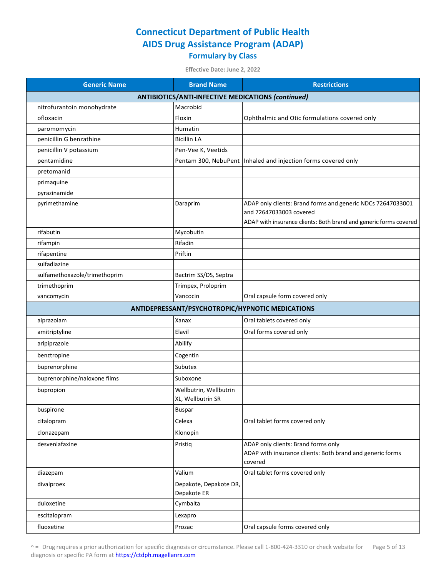| <b>Generic Name</b>           | <b>Brand Name</b>                                         | <b>Restrictions</b>                                                                                                                                         |
|-------------------------------|-----------------------------------------------------------|-------------------------------------------------------------------------------------------------------------------------------------------------------------|
|                               | <b>ANTIBIOTICS/ANTI-INFECTIVE MEDICATIONS (continued)</b> |                                                                                                                                                             |
| nitrofurantoin monohydrate    | Macrobid                                                  |                                                                                                                                                             |
| ofloxacin                     | Floxin                                                    | Ophthalmic and Otic formulations covered only                                                                                                               |
| paromomycin                   | <b>Humatin</b>                                            |                                                                                                                                                             |
| penicillin G benzathine       | <b>Bicillin LA</b>                                        |                                                                                                                                                             |
| penicillin V potassium        | Pen-Vee K, Veetids                                        |                                                                                                                                                             |
| pentamidine                   | Pentam 300, NebuPent                                      | Inhaled and injection forms covered only                                                                                                                    |
| pretomanid                    |                                                           |                                                                                                                                                             |
| primaquine                    |                                                           |                                                                                                                                                             |
| pyrazinamide                  |                                                           |                                                                                                                                                             |
| pyrimethamine                 | Daraprim                                                  | ADAP only clients: Brand forms and generic NDCs 72647033001<br>and 72647033003 covered<br>ADAP with insurance clients: Both brand and generic forms covered |
| rifabutin                     | Mycobutin                                                 |                                                                                                                                                             |
| rifampin                      | Rifadin                                                   |                                                                                                                                                             |
| rifapentine                   | Priftin                                                   |                                                                                                                                                             |
| sulfadiazine                  |                                                           |                                                                                                                                                             |
| sulfamethoxazole/trimethoprim | Bactrim SS/DS, Septra                                     |                                                                                                                                                             |
| trimethoprim                  | Trimpex, Proloprim                                        |                                                                                                                                                             |
| vancomycin                    | Vancocin                                                  | Oral capsule form covered only                                                                                                                              |
|                               |                                                           | ANTIDEPRESSANT/PSYCHOTROPIC/HYPNOTIC MEDICATIONS                                                                                                            |
| alprazolam                    | Xanax                                                     | Oral tablets covered only                                                                                                                                   |
| amitriptyline                 | Elavil                                                    | Oral forms covered only                                                                                                                                     |
| aripiprazole                  | Abilify                                                   |                                                                                                                                                             |
| benztropine                   | Cogentin                                                  |                                                                                                                                                             |
| buprenorphine                 | Subutex                                                   |                                                                                                                                                             |
| buprenorphine/naloxone films  | Suboxone                                                  |                                                                                                                                                             |
| bupropion                     | Wellbutrin, Wellbutrin<br>XL, Wellbutrin SR               |                                                                                                                                                             |
| buspirone                     | <b>Buspar</b>                                             |                                                                                                                                                             |
| citalopram                    | Celexa                                                    | Oral tablet forms covered only                                                                                                                              |
| clonazepam                    | Klonopin                                                  |                                                                                                                                                             |
| desvenlafaxine                | Pristiq                                                   | ADAP only clients: Brand forms only<br>ADAP with insurance clients: Both brand and generic forms<br>covered                                                 |
| diazepam                      | Valium                                                    | Oral tablet forms covered only                                                                                                                              |
| divalproex                    | Depakote, Depakote DR,<br>Depakote ER                     |                                                                                                                                                             |
| duloxetine                    | Cymbalta                                                  |                                                                                                                                                             |
| escitalopram                  | Lexapro                                                   |                                                                                                                                                             |
| fluoxetine                    | Prozac                                                    | Oral capsule forms covered only                                                                                                                             |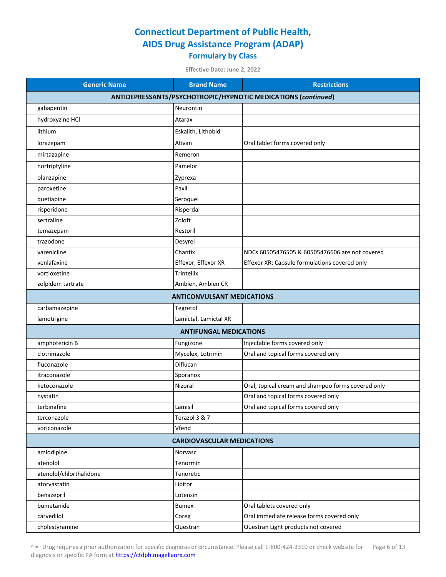**Effective Date: June 2, 2022**

| <b>Generic Name</b>     | <b>Brand Name</b>                                             | <b>Restrictions</b>                                |  |  |  |
|-------------------------|---------------------------------------------------------------|----------------------------------------------------|--|--|--|
|                         | ANTIDEPRESSANTS/PSYCHOTROPIC/HYPNOTIC MEDICATIONS (continued) |                                                    |  |  |  |
| gabapentin              | Neurontin                                                     |                                                    |  |  |  |
| hydroxyzine HCl         | Atarax                                                        |                                                    |  |  |  |
| lithium                 | Eskalith, Lithobid                                            |                                                    |  |  |  |
| lorazepam               | Ativan                                                        | Oral tablet forms covered only                     |  |  |  |
| mirtazapine             | Remeron                                                       |                                                    |  |  |  |
| nortriptyline           | Pamelor                                                       |                                                    |  |  |  |
| olanzapine              | Zyprexa                                                       |                                                    |  |  |  |
| paroxetine              | Paxil                                                         |                                                    |  |  |  |
| quetiapine              | Seroquel                                                      |                                                    |  |  |  |
| risperidone             | Risperdal                                                     |                                                    |  |  |  |
| sertraline              | Zoloft                                                        |                                                    |  |  |  |
| temazepam               | Restoril                                                      |                                                    |  |  |  |
| trazodone               | Desyrel                                                       |                                                    |  |  |  |
| varenicline             | Chantix                                                       | NDCs 60505476505 & 60505476606 are not covered     |  |  |  |
| venlafaxine             | Effexor, Effexor XR                                           | Effexor XR: Capsule formulations covered only      |  |  |  |
| vortioxetine            | Trintellix                                                    |                                                    |  |  |  |
| zolpidem tartrate       | Ambien, Ambien CR                                             |                                                    |  |  |  |
|                         | <b>ANTICONVULSANT MEDICATIONS</b>                             |                                                    |  |  |  |
| carbamazepine           | Tegretol                                                      |                                                    |  |  |  |
| lamotrigine             | Lamictal, Lamictal XR                                         |                                                    |  |  |  |
|                         | <b>ANTIFUNGAL MEDICATIONS</b>                                 |                                                    |  |  |  |
| amphotericin B          | Fungizone                                                     | Injectable forms covered only                      |  |  |  |
| clotrimazole            | Mycelex, Lotrimin                                             | Oral and topical forms covered only                |  |  |  |
| fluconazole             | Diflucan                                                      |                                                    |  |  |  |
| itraconazole            | Sporanox                                                      |                                                    |  |  |  |
| ketoconazole            | Nizoral                                                       | Oral, topical cream and shampoo forms covered only |  |  |  |
| nystatin                |                                                               | Oral and topical forms covered only                |  |  |  |
| terbinafine             | Lamisil                                                       | Oral and topical forms covered only                |  |  |  |
| terconazole             | Terazol 3 & 7                                                 |                                                    |  |  |  |
| voriconazole            | Vfend                                                         |                                                    |  |  |  |
|                         | <b>CARDIOVASCULAR MEDICATIONS</b>                             |                                                    |  |  |  |
| amlodipine              | Norvasc                                                       |                                                    |  |  |  |
| atenolol                | Tenormin                                                      |                                                    |  |  |  |
| atenolol/chlorthalidone | Tenoretic                                                     |                                                    |  |  |  |
| atorvastatin            | Lipitor                                                       |                                                    |  |  |  |
| benazepril              | Lotensin                                                      |                                                    |  |  |  |
| bumetanide              | <b>Bumex</b>                                                  | Oral tablets covered only                          |  |  |  |
| carvedilol              | Coreg                                                         | Oral immediate release forms covered only          |  |  |  |
| cholestyramine          | Questran                                                      | Questran Light products not covered                |  |  |  |

^ = Drug requires a prior authorization for specific diagnosis or circumstance. Please call 1-800-424-3310 or check website for Page 6 of 13 diagnosis or specific PA form a[t https://ctdph.magellanrx.com](https://ctdph.magellanrx.com/)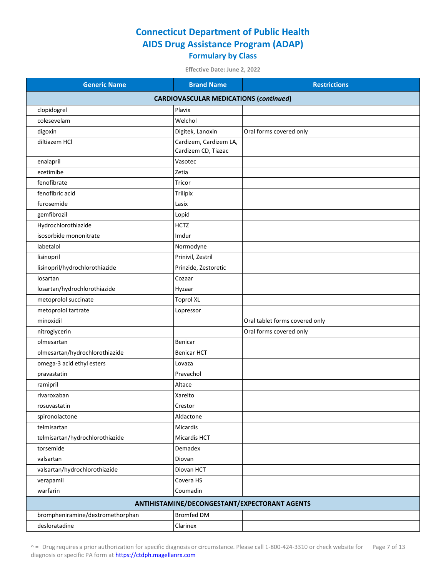**Effective Date: June 2, 2022**

| <b>Generic Name</b>                           | <b>Brand Name</b>      | <b>Restrictions</b>                           |  |  |
|-----------------------------------------------|------------------------|-----------------------------------------------|--|--|
| <b>CARDIOVASCULAR MEDICATIONS (continued)</b> |                        |                                               |  |  |
| clopidogrel                                   | Plavix                 |                                               |  |  |
| colesevelam                                   | Welchol                |                                               |  |  |
| digoxin                                       | Digitek, Lanoxin       | Oral forms covered only                       |  |  |
| diltiazem HCl                                 | Cardizem, Cardizem LA, |                                               |  |  |
|                                               | Cardizem CD, Tiazac    |                                               |  |  |
| enalapril                                     | Vasotec                |                                               |  |  |
| ezetimibe                                     | Zetia                  |                                               |  |  |
| fenofibrate                                   | Tricor                 |                                               |  |  |
| fenofibric acid                               | Trilipix               |                                               |  |  |
| furosemide                                    | Lasix                  |                                               |  |  |
| gemfibrozil                                   | Lopid                  |                                               |  |  |
| Hydrochlorothiazide                           | <b>HCTZ</b>            |                                               |  |  |
| isosorbide mononitrate                        | Imdur                  |                                               |  |  |
| labetalol                                     | Normodyne              |                                               |  |  |
| lisinopril                                    | Prinivil, Zestril      |                                               |  |  |
| lisinopril/hydrochlorothiazide                | Prinzide, Zestoretic   |                                               |  |  |
| losartan                                      | Cozaar                 |                                               |  |  |
| losartan/hydrochlorothiazide                  | Hyzaar                 |                                               |  |  |
| metoprolol succinate                          | <b>Toprol XL</b>       |                                               |  |  |
| metoprolol tartrate                           | Lopressor              |                                               |  |  |
| minoxidil                                     |                        | Oral tablet forms covered only                |  |  |
| nitroglycerin                                 |                        | Oral forms covered only                       |  |  |
| olmesartan                                    | Benicar                |                                               |  |  |
| olmesartan/hydrochlorothiazide                | <b>Benicar HCT</b>     |                                               |  |  |
| omega-3 acid ethyl esters                     | Lovaza                 |                                               |  |  |
| pravastatin                                   | Pravachol              |                                               |  |  |
| ramipril                                      | Altace                 |                                               |  |  |
| rivaroxaban                                   | Xarelto                |                                               |  |  |
| rosuvastatin                                  | Crestor                |                                               |  |  |
| spironolactone                                | Aldactone              |                                               |  |  |
| telmisartan                                   | Micardis               |                                               |  |  |
| telmisartan/hydrochlorothiazide               | Micardis HCT           |                                               |  |  |
| torsemide                                     | Demadex                |                                               |  |  |
| valsartan                                     | Diovan                 |                                               |  |  |
| valsartan/hydrochlorothiazide                 | Diovan HCT             |                                               |  |  |
| verapamil                                     | Covera HS              |                                               |  |  |
| warfarin                                      | Coumadin               |                                               |  |  |
|                                               |                        | ANTIHISTAMINE/DECONGESTANT/EXPECTORANT AGENTS |  |  |
| brompheniramine/dextromethorphan              | <b>Bromfed DM</b>      |                                               |  |  |
| desloratadine                                 | Clarinex               |                                               |  |  |

^ = Drug requires a prior authorization for specific diagnosis or circumstance. Please call 1-800-424-3310 or check website for Page 7 of 13 diagnosis or specific PA form a[t https://ctdph.magellanrx.com](https://ctdph.magellanrx.com/)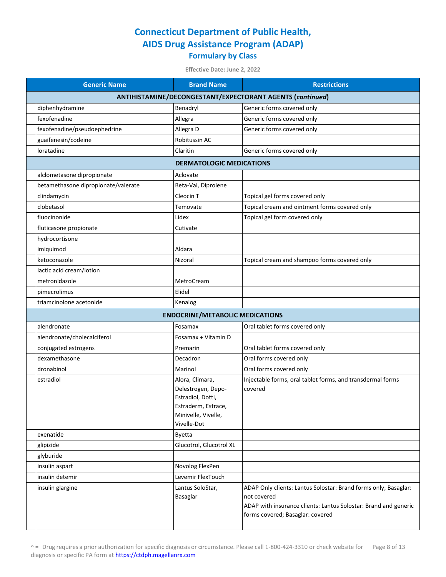| <b>Generic Name</b>                 | <b>Brand Name</b>                                                                                                       | <b>Restrictions</b>                                                                                                                                                                   |
|-------------------------------------|-------------------------------------------------------------------------------------------------------------------------|---------------------------------------------------------------------------------------------------------------------------------------------------------------------------------------|
|                                     |                                                                                                                         | ANTIHISTAMINE/DECONGESTANT/EXPECTORANT AGENTS (continued)                                                                                                                             |
| diphenhydramine                     | Benadryl                                                                                                                | Generic forms covered only                                                                                                                                                            |
| fexofenadine                        | Allegra                                                                                                                 | Generic forms covered only                                                                                                                                                            |
| fexofenadine/pseudoephedrine        | Allegra D                                                                                                               | Generic forms covered only                                                                                                                                                            |
| guaifenesin/codeine                 | Robitussin AC                                                                                                           |                                                                                                                                                                                       |
| loratadine                          | Claritin                                                                                                                | Generic forms covered only                                                                                                                                                            |
|                                     | <b>DERMATOLOGIC MEDICATIONS</b>                                                                                         |                                                                                                                                                                                       |
| alclometasone dipropionate          | Aclovate                                                                                                                |                                                                                                                                                                                       |
| betamethasone dipropionate/valerate | Beta-Val, Diprolene                                                                                                     |                                                                                                                                                                                       |
| clindamycin                         | Cleocin <sub>T</sub>                                                                                                    | Topical gel forms covered only                                                                                                                                                        |
| clobetasol                          | Temovate                                                                                                                | Topical cream and ointment forms covered only                                                                                                                                         |
| fluocinonide                        | Lidex                                                                                                                   | Topical gel form covered only                                                                                                                                                         |
| fluticasone propionate              | Cutivate                                                                                                                |                                                                                                                                                                                       |
| hydrocortisone                      |                                                                                                                         |                                                                                                                                                                                       |
| imiquimod                           | Aldara                                                                                                                  |                                                                                                                                                                                       |
| ketoconazole                        | Nizoral                                                                                                                 | Topical cream and shampoo forms covered only                                                                                                                                          |
| lactic acid cream/lotion            |                                                                                                                         |                                                                                                                                                                                       |
| metronidazole                       | MetroCream                                                                                                              |                                                                                                                                                                                       |
| pimecrolimus                        | Elidel                                                                                                                  |                                                                                                                                                                                       |
| triamcinolone acetonide             | Kenalog                                                                                                                 |                                                                                                                                                                                       |
|                                     | <b>ENDOCRINE/METABOLIC MEDICATIONS</b>                                                                                  |                                                                                                                                                                                       |
| alendronate                         | Fosamax                                                                                                                 | Oral tablet forms covered only                                                                                                                                                        |
| alendronate/cholecalciferol         | Fosamax + Vitamin D                                                                                                     |                                                                                                                                                                                       |
| conjugated estrogens                | Premarin                                                                                                                | Oral tablet forms covered only                                                                                                                                                        |
| dexamethasone                       | Decadron                                                                                                                | Oral forms covered only                                                                                                                                                               |
| dronabinol                          | Marinol                                                                                                                 | Oral forms covered only                                                                                                                                                               |
| estradiol                           | Alora, Climara,<br>Delestrogen, Depo-<br>Estradiol, Dotti,<br>Estraderm, Estrace,<br>Minivelle, Vivelle,<br>Vivelle-Dot | Injectable forms, oral tablet forms, and transdermal forms<br>covered                                                                                                                 |
| exenatide                           | <b>Byetta</b>                                                                                                           |                                                                                                                                                                                       |
| glipizide                           | Glucotrol, Glucotrol XL                                                                                                 |                                                                                                                                                                                       |
| glyburide                           |                                                                                                                         |                                                                                                                                                                                       |
| insulin aspart                      | Novolog FlexPen                                                                                                         |                                                                                                                                                                                       |
| insulin detemir                     | Levemir FlexTouch                                                                                                       |                                                                                                                                                                                       |
| insulin glargine                    | Lantus SoloStar,<br>Basaglar                                                                                            | ADAP Only clients: Lantus Solostar: Brand forms only; Basaglar:<br>not covered<br>ADAP with insurance clients: Lantus Solostar: Brand and generic<br>forms covered; Basaglar: covered |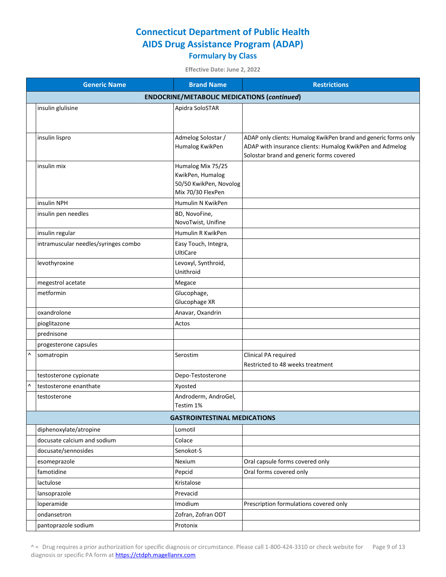|   | <b>Generic Name</b>                                | <b>Brand Name</b>                   | <b>Restrictions</b>                                                                                  |  |  |
|---|----------------------------------------------------|-------------------------------------|------------------------------------------------------------------------------------------------------|--|--|
|   | <b>ENDOCRINE/METABOLIC MEDICATIONS (continued)</b> |                                     |                                                                                                      |  |  |
|   | insulin glulisine                                  | Apidra SoloSTAR                     |                                                                                                      |  |  |
|   |                                                    |                                     |                                                                                                      |  |  |
|   |                                                    |                                     |                                                                                                      |  |  |
|   | insulin lispro                                     | Admelog Solostar /                  | ADAP only clients: Humalog KwikPen brand and generic forms only                                      |  |  |
|   |                                                    | Humalog KwikPen                     | ADAP with insurance clients: Humalog KwikPen and Admelog<br>Solostar brand and generic forms covered |  |  |
|   | insulin mix                                        | Humalog Mix 75/25                   |                                                                                                      |  |  |
|   |                                                    | KwikPen, Humalog                    |                                                                                                      |  |  |
|   |                                                    | 50/50 KwikPen, Novolog              |                                                                                                      |  |  |
|   |                                                    | Mix 70/30 FlexPen                   |                                                                                                      |  |  |
|   | insulin NPH                                        | Humulin N KwikPen                   |                                                                                                      |  |  |
|   | insulin pen needles                                | BD, NovoFine,                       |                                                                                                      |  |  |
|   |                                                    | NovoTwist, Unifine                  |                                                                                                      |  |  |
|   | insulin regular                                    | Humulin R KwikPen                   |                                                                                                      |  |  |
|   | intramuscular needles/syringes combo               | Easy Touch, Integra,                |                                                                                                      |  |  |
|   |                                                    | <b>UltiCare</b>                     |                                                                                                      |  |  |
|   | levothyroxine                                      | Levoxyl, Synthroid,                 |                                                                                                      |  |  |
|   |                                                    | Unithroid                           |                                                                                                      |  |  |
|   | megestrol acetate                                  | Megace                              |                                                                                                      |  |  |
|   | metformin                                          | Glucophage,                         |                                                                                                      |  |  |
|   |                                                    | Glucophage XR                       |                                                                                                      |  |  |
|   | oxandrolone                                        | Anavar, Oxandrin<br>Actos           |                                                                                                      |  |  |
|   | pioglitazone<br>prednisone                         |                                     |                                                                                                      |  |  |
|   |                                                    |                                     |                                                                                                      |  |  |
|   | progesterone capsules                              |                                     |                                                                                                      |  |  |
| Λ | somatropin                                         | Serostim                            | Clinical PA required<br>Restricted to 48 weeks treatment                                             |  |  |
|   |                                                    |                                     |                                                                                                      |  |  |
| Λ | testosterone cypionate<br>testosterone enanthate   | Depo-Testosterone                   |                                                                                                      |  |  |
|   |                                                    | Xyosted<br>Androderm, AndroGel,     |                                                                                                      |  |  |
|   | testosterone                                       | Testim 1%                           |                                                                                                      |  |  |
|   |                                                    | <b>GASTROINTESTINAL MEDICATIONS</b> |                                                                                                      |  |  |
|   | diphenoxylate/atropine                             | Lomotil                             |                                                                                                      |  |  |
|   | docusate calcium and sodium                        | Colace                              |                                                                                                      |  |  |
|   | docusate/sennosides                                | Senokot-S                           |                                                                                                      |  |  |
|   | esomeprazole                                       | Nexium                              | Oral capsule forms covered only                                                                      |  |  |
|   | famotidine                                         | Pepcid                              | Oral forms covered only                                                                              |  |  |
|   | lactulose                                          | Kristalose                          |                                                                                                      |  |  |
|   | lansoprazole                                       | Prevacid                            |                                                                                                      |  |  |
|   | loperamide                                         | Imodium                             | Prescription formulations covered only                                                               |  |  |
|   | ondansetron                                        | Zofran, Zofran ODT                  |                                                                                                      |  |  |
|   | pantoprazole sodium                                | Protonix                            |                                                                                                      |  |  |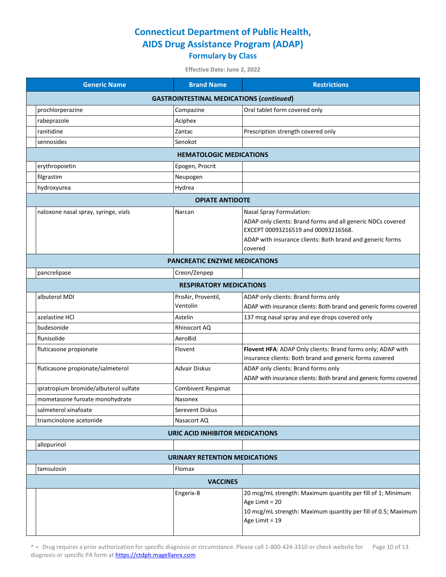| <b>Generic Name</b>                             | <b>Brand Name</b>                      | <b>Restrictions</b>                                                                                      |  |  |
|-------------------------------------------------|----------------------------------------|----------------------------------------------------------------------------------------------------------|--|--|
| <b>GASTROINTESTINAL MEDICATIONS (continued)</b> |                                        |                                                                                                          |  |  |
| prochlorperazine                                | Compazine                              | Oral tablet form covered only                                                                            |  |  |
| rabeprazole                                     | Aciphex                                |                                                                                                          |  |  |
| ranitidine                                      | Zantac                                 | Prescription strength covered only                                                                       |  |  |
| sennosides                                      | Senokot                                |                                                                                                          |  |  |
|                                                 | <b>HEMATOLOGIC MEDICATIONS</b>         |                                                                                                          |  |  |
| erythropoietin                                  | Epogen, Procrit                        |                                                                                                          |  |  |
| filgrastim                                      | Neupogen                               |                                                                                                          |  |  |
| hydroxyurea                                     | Hydrea                                 |                                                                                                          |  |  |
|                                                 | <b>OPIATE ANTIDOTE</b>                 |                                                                                                          |  |  |
| naloxone nasal spray, syringe, vials            | Narcan                                 | Nasal Spray Formulation:                                                                                 |  |  |
|                                                 |                                        | ADAP only clients: Brand forms and all generic NDCs covered                                              |  |  |
|                                                 |                                        | EXCEPT 00093216519 and 00093216568.                                                                      |  |  |
|                                                 |                                        | ADAP with insurance clients: Both brand and generic forms<br>covered                                     |  |  |
|                                                 | <b>PANCREATIC ENZYME MEDICATIONS</b>   |                                                                                                          |  |  |
| pancrelipase                                    | Creon/Zenpep                           |                                                                                                          |  |  |
|                                                 | <b>RESPIRATORY MEDICATIONS</b>         |                                                                                                          |  |  |
| albuterol MDI                                   |                                        |                                                                                                          |  |  |
|                                                 | ProAir, Proventil,<br>Ventolin         | ADAP only clients: Brand forms only<br>ADAP with insurance clients: Both brand and generic forms covered |  |  |
| azelastine HCl                                  | Astelin                                | 137 mcg nasal spray and eye drops covered only                                                           |  |  |
| budesonide                                      | Rhinocort AQ                           |                                                                                                          |  |  |
| flunisolide                                     | AeroBid                                |                                                                                                          |  |  |
| fluticasone propionate                          | Flovent                                | Flovent HFA: ADAP Only clients: Brand forms only; ADAP with                                              |  |  |
|                                                 |                                        | insurance clients: Both brand and generic forms covered                                                  |  |  |
| fluticasone propionate/salmeterol               | Advair Diskus                          | ADAP only clients: Brand forms only                                                                      |  |  |
|                                                 |                                        | ADAP with insurance clients: Both brand and generic forms covered                                        |  |  |
| ipratropium bromide/albuterol sulfate           | Combivent Respimat                     |                                                                                                          |  |  |
| mometasone furoate monohydrate                  | Nasonex                                |                                                                                                          |  |  |
| salmeterol xinafoate                            | Serevent Diskus                        |                                                                                                          |  |  |
| triamcinolone acetonide                         | Nasacort AQ                            |                                                                                                          |  |  |
|                                                 | <b>URIC ACID INHIBITOR MEDICATIONS</b> |                                                                                                          |  |  |
| allopurinol                                     |                                        |                                                                                                          |  |  |
|                                                 | <b>URINARY RETENTION MEDICATIONS</b>   |                                                                                                          |  |  |
| tamsulosin                                      | Flomax                                 |                                                                                                          |  |  |
|                                                 | <b>VACCINES</b>                        |                                                                                                          |  |  |
|                                                 | Engerix-B                              | 20 mcg/mL strength: Maximum quantity per fill of 1; Minimum                                              |  |  |
|                                                 |                                        | Age Limit = 20                                                                                           |  |  |
|                                                 |                                        | 10 mcg/mL strength: Maximum quantity per fill of 0.5; Maximum<br>Age Limit = 19                          |  |  |
|                                                 |                                        |                                                                                                          |  |  |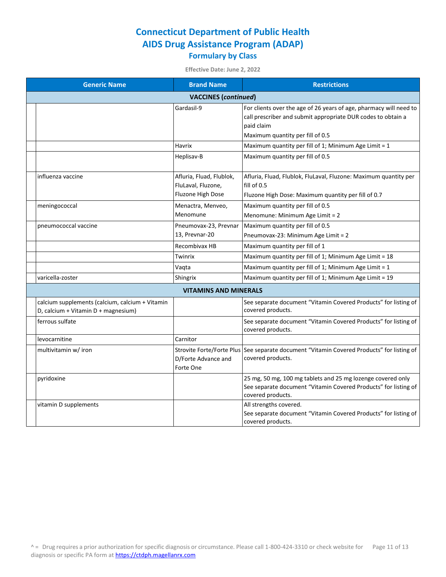| <b>Generic Name</b>                                                                    | <b>Brand Name</b>                                                   | <b>Restrictions</b>                                                                                                                                 |
|----------------------------------------------------------------------------------------|---------------------------------------------------------------------|-----------------------------------------------------------------------------------------------------------------------------------------------------|
|                                                                                        | <b>VACCINES</b> (continued)                                         |                                                                                                                                                     |
|                                                                                        | Gardasil-9                                                          | For clients over the age of 26 years of age, pharmacy will need to<br>call prescriber and submit appropriate DUR codes to obtain a<br>paid claim    |
|                                                                                        |                                                                     | Maximum quantity per fill of 0.5                                                                                                                    |
|                                                                                        | Havrix                                                              | Maximum quantity per fill of 1; Minimum Age Limit = 1                                                                                               |
|                                                                                        | Heplisav-B                                                          | Maximum quantity per fill of 0.5                                                                                                                    |
| influenza vaccine                                                                      | Afluria, Fluad, Flublok,<br>FluLaval, Fluzone,<br>Fluzone High Dose | Afluria, Fluad, Flublok, FluLaval, Fluzone: Maximum quantity per<br>fill of 0.5<br>Fluzone High Dose: Maximum quantity per fill of 0.7              |
| meningococcal                                                                          | Menactra, Menveo,                                                   | Maximum quantity per fill of 0.5                                                                                                                    |
|                                                                                        | Menomune                                                            | Menomune: Minimum Age Limit = 2                                                                                                                     |
| pneumococcal vaccine                                                                   | Pneumovax-23, Prevnar                                               | Maximum quantity per fill of 0.5                                                                                                                    |
|                                                                                        | 13, Prevnar-20                                                      | Pneumovax-23: Minimum Age Limit = 2                                                                                                                 |
|                                                                                        | Recombivax HB                                                       | Maximum quantity per fill of 1                                                                                                                      |
|                                                                                        | Twinrix                                                             | Maximum quantity per fill of 1; Minimum Age Limit = 18                                                                                              |
|                                                                                        | Vaqta                                                               | Maximum quantity per fill of 1; Minimum Age Limit = 1                                                                                               |
| varicella-zoster                                                                       | Shingrix                                                            | Maximum quantity per fill of 1; Minimum Age Limit = $19$                                                                                            |
|                                                                                        | <b>VITAMINS AND MINERALS</b>                                        |                                                                                                                                                     |
| calcium supplements (calcium, calcium + Vitamin<br>D, calcium + Vitamin D + magnesium) |                                                                     | See separate document "Vitamin Covered Products" for listing of<br>covered products.                                                                |
| ferrous sulfate                                                                        |                                                                     | See separate document "Vitamin Covered Products" for listing of<br>covered products.                                                                |
| levocarnitine                                                                          | Carnitor                                                            |                                                                                                                                                     |
| multivitamin w/ iron                                                                   | D/Forte Advance and<br>Forte One                                    | Strovite Forte/Forte Plus See separate document "Vitamin Covered Products" for listing of<br>covered products.                                      |
| pyridoxine                                                                             |                                                                     | 25 mg, 50 mg, 100 mg tablets and 25 mg lozenge covered only<br>See separate document "Vitamin Covered Products" for listing of<br>covered products. |
| vitamin D supplements                                                                  |                                                                     | All strengths covered.<br>See separate document "Vitamin Covered Products" for listing of<br>covered products.                                      |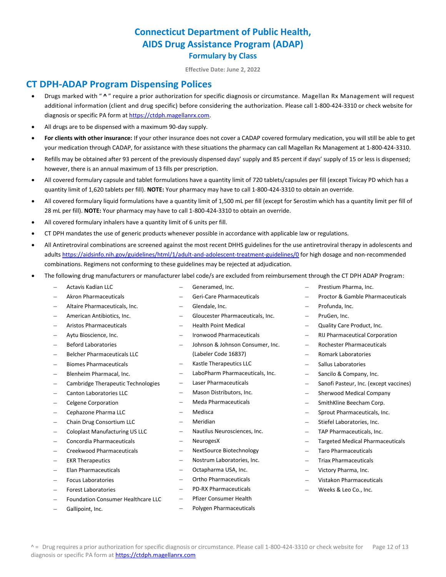**Effective Date: June 2, 2022**

#### **CT DPH-ADAP Program Dispensing Polices**

- Drugs marked with " **^** " require a prior authorization for specific diagnosis or circumstance. Magellan Rx Management will request additional information (client and drug specific) before considering the authorization. Please call 1-800-424-3310 or check website for diagnosis or specific PA form a[t https://ctdph.magellanrx.com.](https://ctdph.magellanrx.com/)
- All drugs are to be dispensed with a maximum 90-day supply.
- **For clients with other insurance:** If your other insurance does not cover a CADAP covered formulary medication, you will still be able to get your medication through CADAP, for assistance with these situations the pharmacy can call Magellan Rx Management at 1-800-424-3310.
- Refills may be obtained after 93 percent of the previously dispensed days' supply and 85 percent if days' supply of 15 or less is dispensed; however, there is an annual maximum of 13 fills per prescription.
- All covered formulary capsule and tablet formulations have a quantity limit of 720 tablets/capsules per fill (except Tivicay PD which has a quantity limit of 1,620 tablets per fill). **NOTE:** Your pharmacy may have to call 1-800-424-3310 to obtain an override.
- All covered formulary liquid formulations have a quantity limit of 1,500 mL per fill (except for Serostim which has a quantity limit per fill of 28 mL per fill). **NOTE:** Your pharmacy may have to call 1-800-424-3310 to obtain an override.
- All covered formulary inhalers have a quantity limit of 6 units per fill.
- CT DPH mandates the use of generic products whenever possible in accordance with applicable law or regulations.
- All Antiretroviral combinations are screened against the most recent DHHS guidelines for the use antiretroviral therapy in adolescents and adult[s https://aidsinfo.nih.gov/guidelines/html/1/adult-and-adolescent-treatment-guidelines/0](https://aidsinfo.nih.gov/guidelines/html/1/adult-and-adolescent-treatment-guidelines/0) for high dosage and non-recommended combinations. Regimens not conforming to these guidelines may be rejected at adjudication.
- The following drug manufacturers or manufacturer label code/s are excluded from reimbursement through the CT DPH ADAP Program:
	- Actavis Kadian LLC
- Generamed, Inc.
- Geri-Care Pharmaceuticals
- Altaire Pharmaceuticals, Inc.
- American Antibiotics, Inc.

– Akron Pharmaceuticals

- Aristos Pharmaceuticals
- Aytu Bioscience, Inc.
- Beford Laboratories
- Belcher Pharmaceuticals LLC
- Biomes Pharmaceuticals
- Blenheim Pharmacal, Inc.
- Cambridge Therapeutic Technologies
- Canton Laboratories LLC
- Celgene Corporation
- Cephazone Pharma LLC
- Chain Drug Consortium LLC
- Coloplast Manufacturing US LLC
- Concordia Pharmaceuticals
- Creekwood Pharmaceuticals
- EKR Therapeutics
- Elan Pharmaceuticals
- Focus Laboratories
- Forest Laboratories
- Foundation Consumer Healthcare LLC
- Gallipoint, Inc.
- Glendale, Inc.
- Gloucester Pharmaceuticals, Inc.
- Health Point Medical
- Ironwood Pharmaceuticals
- Johnson & Johnson Consumer, Inc. (Labeler Code 16837)
- Kastle Therapeutics LLC
- LaboPharm Pharmaceuticals, Inc.
- Laser Pharmaceuticals
- Mason Distributors, Inc.
- Meda Pharmaceuticals
- **Medisca**
- Meridian
- Nautilus Neurosciences, Inc.
- **NeurogesX**
- NextSource Biotechnology
- Nostrum Laboratories, Inc.
- Octapharma USA, Inc.
- Ortho Pharmaceuticals
- PD-RX Pharmaceuticals
- Pfizer Consumer Health
- Polygen Pharmaceuticals
- Prestium Pharma, Inc.
- Proctor & Gamble Pharmaceuticals
- Profunda, Inc.
- PruGen, Inc.
- Quality Care Product, Inc.
- 
- 
- 
- Sallus Laboratories
- Sancilo & Company, Inc.
- Sanofi Pasteur, Inc. (except vaccines)
- Sherwood Medical Company
- SmithKline Beecham Corp.
- Sprout Pharmaceuticals, Inc.
- Stiefel Laboratories, Inc.
- TAP Pharmaceuticals, Inc.
- Targeted Medical Pharmaceuticals
- Taro Pharmaceuticals
- Triax Pharmaceuticals
- Victory Pharma, Inc.
- Vistakon Pharmaceuticals
- Weeks & Leo Co., Inc.
- - RIJ Pharmaceutical Corporation
	- Rochester Pharmaceuticals
	- Romark Laboratories
	-
	-
- 
- -
	-
	-
	-
	-
	-
	-
	-
	-